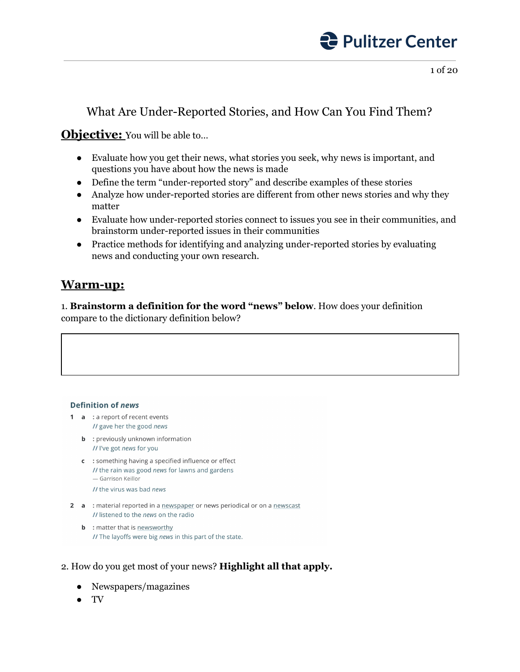

### What Are Under-Reported Stories, and How Can You Find Them?

### **Objective:** You will be able to...

- Evaluate how you get their news, what stories you seek, why news is important, and questions you have about how the news is made
- Define the term "under-reported story" and describe examples of these stories
- Analyze how under-reported stories are different from other news stories and why they matter
- Evaluate how under-reported stories connect to issues you see in their communities, and brainstorm under-reported issues in their communities
- Practice methods for identifying and analyzing under-reported stories by evaluating news and conducting your own research.

### **Warm-up:**

1. **Brainstorm a definition for the word "news" below**. How does your definition compare to the dictionary definition below?

#### **Definition of news**

- 1 a : a report of recent events II gave her the good news
	- **b** : previously unknown information // I've got news for you
	- c : something having a specified influence or effect // the rain was good news for lawns and gardens - Garrison Keillor
		- // the virus was bad news
- 2 a : material reported in a newspaper or news periodical or on a newscast // listened to the news on the radio
	- **b** : matter that is newsworthy // The layoffs were big news in this part of the state.

### 2. How do you get most of your news? **Highlight all that apply.**

- Newspapers/magazines
- TV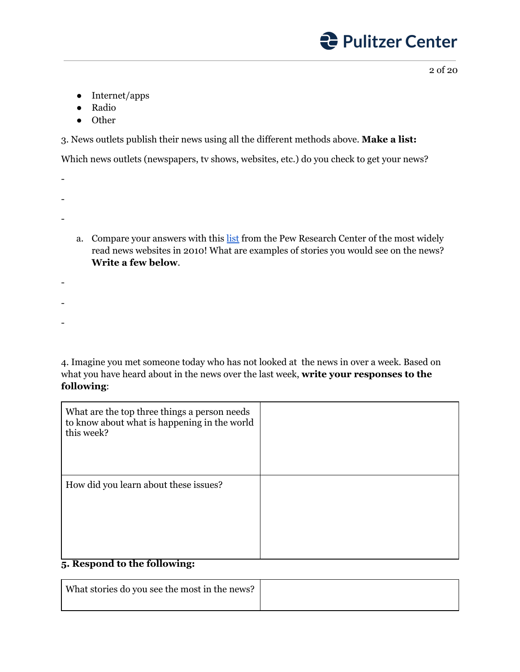2 of 20

- Internet/apps
- Radio
- Other

3. News outlets publish their news using all the different methods above. **Make a list:**

Which news outlets (newspapers, tv shows, websites, etc.) do you check to get your news?

-

-

-

-

-

-

a. Compare your answers with this [list](https://www.journalism.org/2011/05/09/top-25/) from the Pew Research Center of the most widely read news websites in 2010! What are examples of stories you would see on the news? **Write a few below**.

4. Imagine you met someone today who has not looked at the news in over a week. Based on what you have heard about in the news over the last week, **write your responses to the following**:

| What are the top three things a person needs<br>to know about what is happening in the world<br>this week? |  |
|------------------------------------------------------------------------------------------------------------|--|
| How did you learn about these issues?                                                                      |  |
| 5. Respond to the following:                                                                               |  |

| What stories do you see the most in the news? |  |
|-----------------------------------------------|--|
|                                               |  |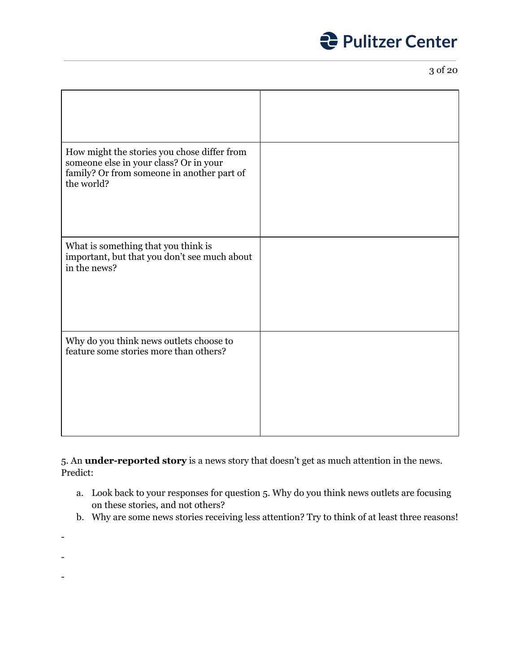3 of 20

| How might the stories you chose differ from<br>someone else in your class? Or in your<br>family? Or from someone in another part of<br>the world? |  |
|---------------------------------------------------------------------------------------------------------------------------------------------------|--|
| What is something that you think is<br>important, but that you don't see much about<br>in the news?                                               |  |
| Why do you think news outlets choose to<br>feature some stories more than others?                                                                 |  |

5. An **under-reported story** is a news story that doesn't get as much attention in the news. Predict:

- a. Look back to your responses for question 5. Why do you think news outlets are focusing on these stories, and not others?
- b. Why are some news stories receiving less attention? Try to think of at least three reasons!
- -
- -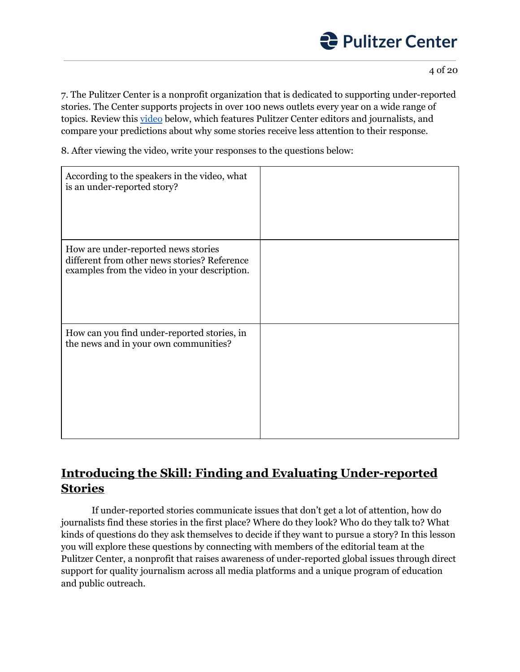4 of 20

7. The Pulitzer Center is a nonprofit organization that is dedicated to supporting under-reported stories. The Center supports projects in over 100 news outlets every year on a wide range of topics. Review this [video](https://youtu.be/jQ6czV4e7pc) below, which features Pulitzer Center editors and journalists, and compare your predictions about why some stories receive less attention to their response.

8. After viewing the video, write your responses to the questions below:

| According to the speakers in the video, what<br>is an under-reported story?                                                         |  |
|-------------------------------------------------------------------------------------------------------------------------------------|--|
| How are under-reported news stories<br>different from other news stories? Reference<br>examples from the video in your description. |  |
| How can you find under-reported stories, in<br>the news and in your own communities?                                                |  |

### **Introducing the Skill: Finding and Evaluating Under-reported Stories**

If under-reported stories communicate issues that don't get a lot of attention, how do journalists find these stories in the first place? Where do they look? Who do they talk to? What kinds of questions do they ask themselves to decide if they want to pursue a story? In this lesson you will explore these questions by connecting with members of the editorial team at the Pulitzer Center, a nonprofit that raises awareness of under-reported global issues through direct support for quality journalism across all media platforms and a unique program of education and public outreach.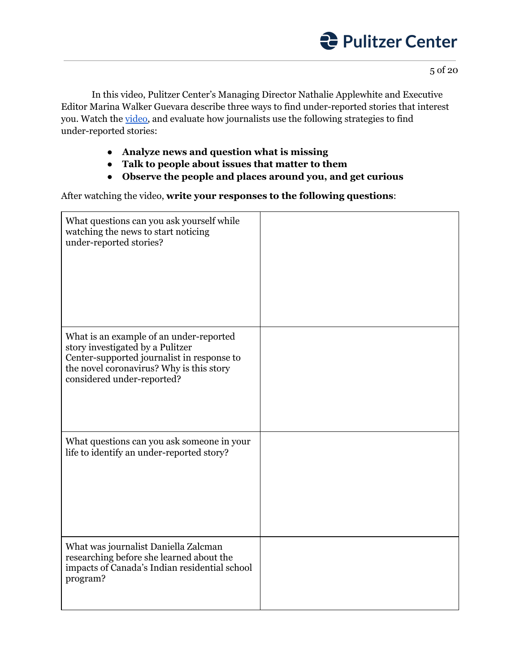5 of 20

In this video, Pulitzer Center's Managing Director Nathalie Applewhite and Executive Editor Marina Walker Guevara describe three ways to find under-reported stories that interest you. Watch the [video,](https://youtu.be/5Fez7XtjFOQ) and evaluate how journalists use the following strategies to find under-reported stories:

- **● Analyze news and question what is missing**
- **● Talk to people about issues that matter to them**
- **● Observe the people and places around you, and get curious**

After watching the video, **write your responses to the following questions**:

| What questions can you ask yourself while<br>watching the news to start noticing<br>under-reported stories?                                                                                         |  |
|-----------------------------------------------------------------------------------------------------------------------------------------------------------------------------------------------------|--|
| What is an example of an under-reported<br>story investigated by a Pulitzer<br>Center-supported journalist in response to<br>the novel coronavirus? Why is this story<br>considered under-reported? |  |
| What questions can you ask someone in your<br>life to identify an under-reported story?                                                                                                             |  |
| What was journalist Daniella Zalcman<br>researching before she learned about the<br>impacts of Canada's Indian residential school<br>program?                                                       |  |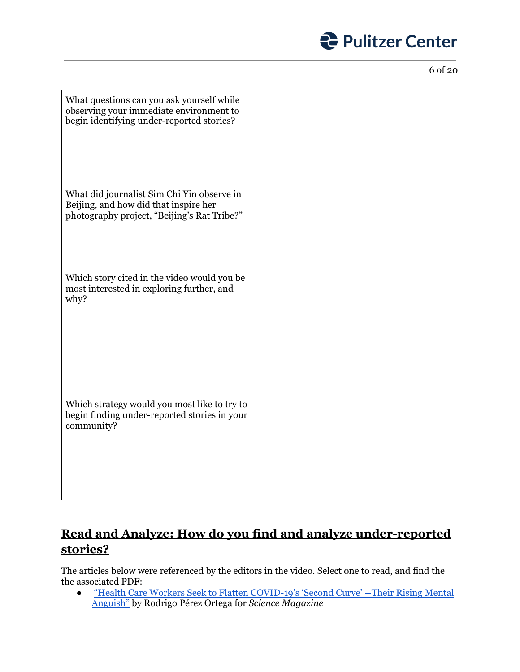6 of 20

| What questions can you ask yourself while<br>observing your immediate environment to<br>begin identifying under-reported stories?  |  |
|------------------------------------------------------------------------------------------------------------------------------------|--|
| What did journalist Sim Chi Yin observe in<br>Beijing, and how did that inspire her<br>photography project, "Beijing's Rat Tribe?" |  |
| Which story cited in the video would you be<br>most interested in exploring further, and<br>why?                                   |  |
| Which strategy would you most like to try to<br>begin finding under-reported stories in your<br>community?                         |  |

### **Read and Analyze: How do you find and analyze under-reported stories?**

The articles below were referenced by the editors in the video. Select one to read, and find the the associated PDF:

● "Health Care Workers Seek to Flatten [COVID-19's](https://pulitzercenter.org/reporting/health-care-workers-seek-flatten-covid-19s-second-curve-their-rising-mental-anguish) 'Second Curve' --Their Rising Mental [Anguish"](https://pulitzercenter.org/reporting/health-care-workers-seek-flatten-covid-19s-second-curve-their-rising-mental-anguish) by Rodrigo Pérez Ortega for *Science Magazine*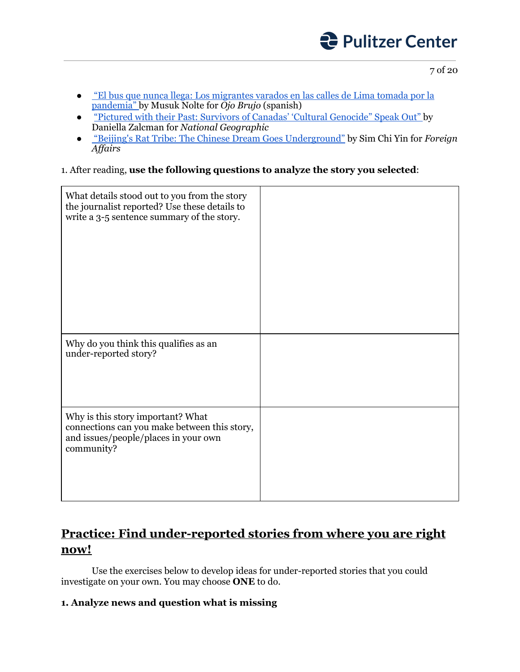

- ["](https://ojo-publico.com/1796/el-bus-que-nunca-llega-los-migrantes-varados-en-lima?fbclid=IwAR28C8isQ6DT6U2hK-j3f0XfPH6-ILo0GBemOTgBzsz3pdf5ovK8KDyn6R4)El bus que nunca llega: Los [migrantes](https://ojo-publico.com/1796/el-bus-que-nunca-llega-los-migrantes-varados-en-lima?fbclid=IwAR28C8isQ6DT6U2hK-j3f0XfPH6-ILo0GBemOTgBzsz3pdf5ovK8KDyn6R4) varados en las calles de Lima tomada por la [pandemia"](https://ojo-publico.com/1796/el-bus-que-nunca-llega-los-migrantes-varados-en-lima?fbclid=IwAR28C8isQ6DT6U2hK-j3f0XfPH6-ILo0GBemOTgBzsz3pdf5ovK8KDyn6R4) by Musuk Nolte for *Ojo Brujo* (spanish)
- "Pictured with their Past: Survivors of Canadas' 'Cultural [Genocide"](https://pulitzercenter.org/reporting/pictured-their-past-survivors-canadas-cultural-genocide-speak-out) Speak Out" by Daniella Zalcman for *National Geographic*
- ["](https://pulitzercenter.org/reporting/beijings-rat-tribe-chinese-dream-goes-underground#slideshow-2)Beijing's Rat Tribe: The Chinese Dream Goes [Underground"](https://pulitzercenter.org/reporting/beijings-rat-tribe-chinese-dream-goes-underground#slideshow-2) by Sim Chi Yin for *Foreign Af airs*

### 1. After reading, **use the following questions to analyze the story you selected**:

| What details stood out to you from the story<br>the journalist reported? Use these details to<br>write a 3-5 sentence summary of the story. |  |
|---------------------------------------------------------------------------------------------------------------------------------------------|--|
| Why do you think this qualifies as an<br>under-reported story?                                                                              |  |
| Why is this story important? What<br>connections can you make between this story,<br>and issues/people/places in your own<br>community?     |  |

### **Practice: Find under-reported stories from where you are right now!**

Use the exercises below to develop ideas for under-reported stories that you could investigate on your own. You may choose **ONE** to do.

### **1. Analyze news and question what is missing**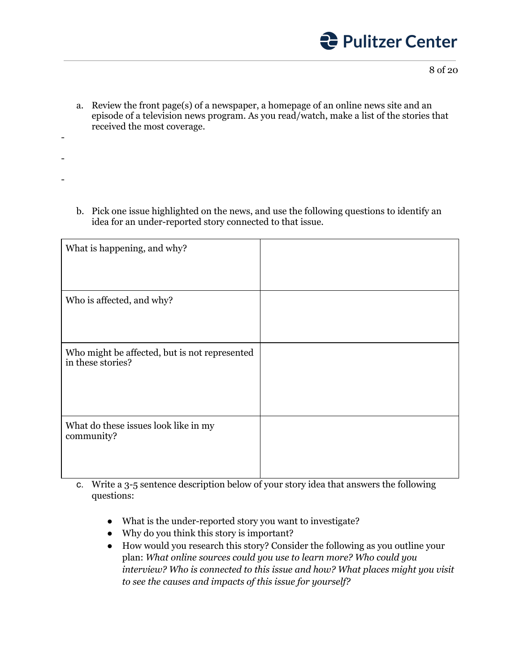

a. Review the front page(s) of a newspaper, a homepage of an online news site and an episode of a television news program. As you read/watch, make a list of the stories that received the most coverage.

-

-

-

b. Pick one issue highlighted on the news, and use the following questions to identify an idea for an under-reported story connected to that issue.

| What is happening, and why?                                        |  |
|--------------------------------------------------------------------|--|
| Who is affected, and why?                                          |  |
| Who might be affected, but is not represented<br>in these stories? |  |
| What do these issues look like in my<br>community?                 |  |

- c. Write a 3-5 sentence description below of your story idea that answers the following questions:
	- What is the under-reported story you want to investigate?
	- Why do you think this story is important?
	- How would you research this story? Consider the following as you outline your plan: *What online sources could you use to learn more? Who could you interview? Who is connected to this issue and how? What places might you visit to see the causes and impacts of this issue for yourself?*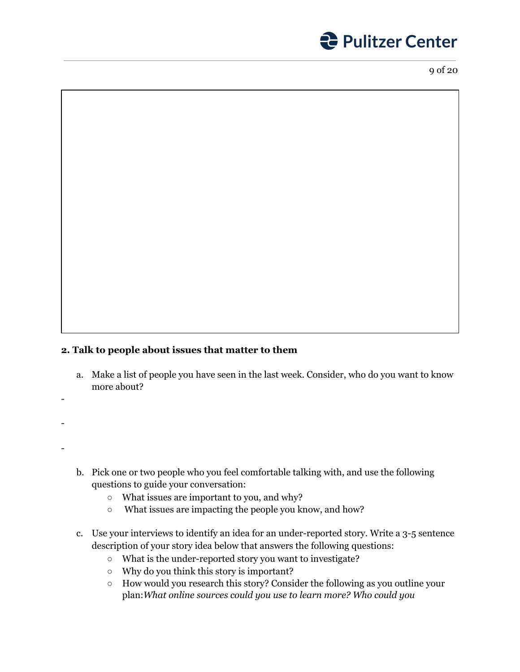

### **2. Talk to people about issues that matter to them**

- a. Make a list of people you have seen in the last week. Consider, who do you want to know more about?
- -

-

- -
- b. Pick one or two people who you feel comfortable talking with, and use the following questions to guide your conversation:
	- What issues are important to you, and why?
	- What issues are impacting the people you know, and how?
- c. Use your interviews to identify an idea for an under-reported story. Write a 3-5 sentence description of your story idea below that answers the following questions:
	- What is the under-reported story you want to investigate?
	- Why do you think this story is important?
	- How would you research this story? Consider the following as you outline your plan:*What online sources could you use to learn more? Who could you*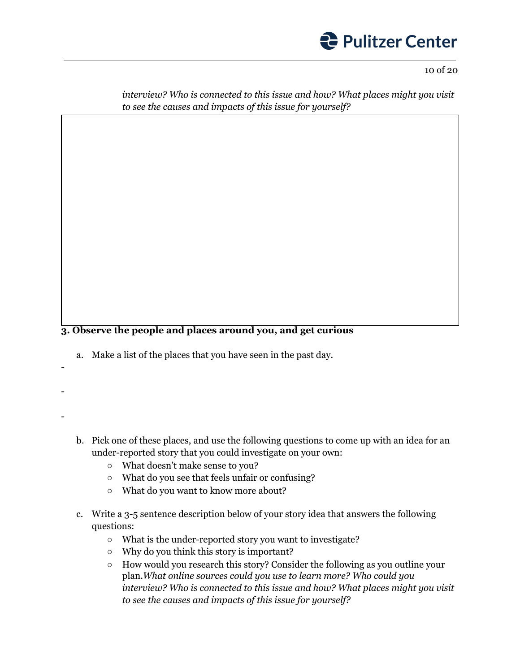

*interview? Who is connected to this issue and how? What places might you visit to see the causes and impacts of this issue for yourself?*

#### **3. Observe the people and places around you, and get curious**

- a. Make a list of the places that you have seen in the past day.
- -

-

-

- b. Pick one of these places, and use the following questions to come up with an idea for an under-reported story that you could investigate on your own:
	- What doesn't make sense to you?
	- What do you see that feels unfair or confusing?
	- What do you want to know more about?
- c. Write a 3-5 sentence description below of your story idea that answers the following questions:
	- What is the under-reported story you want to investigate?
	- Why do you think this story is important?
	- How would you research this story? Consider the following as you outline your plan.*What online sources could you use to learn more? Who could you interview? Who is connected to this issue and how? What places might you visit to see the causes and impacts of this issue for yourself?*